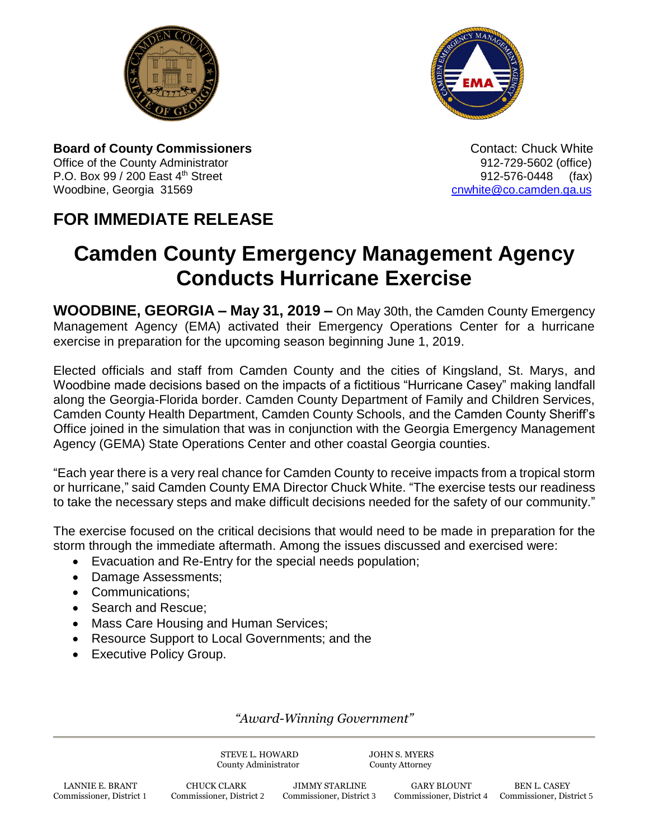



**Board of County Commissioners Contact: Chuck White Contact: Chuck White Contact: Chuck White** Office of the County Administrator **Department County Administrator 912-729-5602** (office) P.O. Box 99 / 200 East 4th Street 912-576-0448 (fax) Woodbine, Georgia 31569 [cnwhite@co.camden.ga.us](mailto:cnwhite@co.camden.ga.us)

## **FOR IMMEDIATE RELEASE**

# **Camden County Emergency Management Agency Conducts Hurricane Exercise**

**WOODBINE, GEORGIA – May 31, 2019 –** On May 30th, the Camden County Emergency Management Agency (EMA) activated their Emergency Operations Center for a hurricane exercise in preparation for the upcoming season beginning June 1, 2019.

Elected officials and staff from Camden County and the cities of Kingsland, St. Marys, and Woodbine made decisions based on the impacts of a fictitious "Hurricane Casey" making landfall along the Georgia-Florida border. Camden County Department of Family and Children Services, Camden County Health Department, Camden County Schools, and the Camden County Sheriff's Office joined in the simulation that was in conjunction with the Georgia Emergency Management Agency (GEMA) State Operations Center and other coastal Georgia counties.

"Each year there is a very real chance for Camden County to receive impacts from a tropical storm or hurricane," said Camden County EMA Director Chuck White. "The exercise tests our readiness to take the necessary steps and make difficult decisions needed for the safety of our community."

The exercise focused on the critical decisions that would need to be made in preparation for the storm through the immediate aftermath. Among the issues discussed and exercised were:

- Evacuation and Re-Entry for the special needs population;
- Damage Assessments;
- Communications:
- Search and Rescue;
- Mass Care Housing and Human Services;
- Resource Support to Local Governments; and the
- Executive Policy Group.

### *"Award-Winning Government"*

STEVE L. HOWARD JOHN S. MYERS County Administrator County Attorney